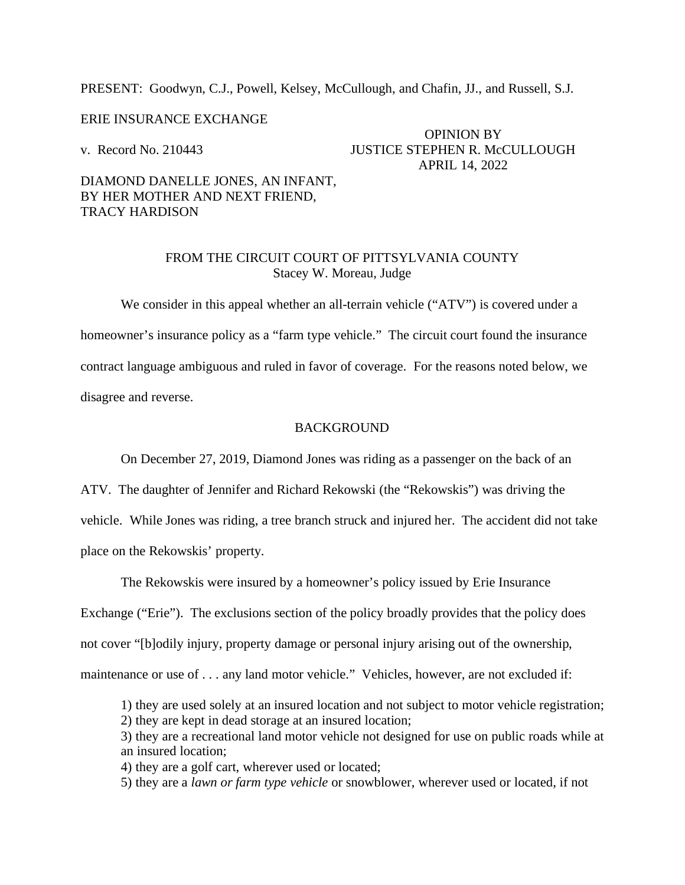PRESENT: Goodwyn, C.J., Powell, Kelsey, McCullough, and Chafin, JJ., and Russell, S.J.

#### ERIE INSURANCE EXCHANGE

OPINION BY v. Record No. 210443 JUSTICE STEPHEN R. McCULLOUGH APRIL 14, 2022

## DIAMOND DANELLE JONES, AN INFANT, BY HER MOTHER AND NEXT FRIEND, TRACY HARDISON

## FROM THE CIRCUIT COURT OF PITTSYLVANIA COUNTY Stacey W. Moreau, Judge

We consider in this appeal whether an all-terrain vehicle ("ATV") is covered under a homeowner's insurance policy as a "farm type vehicle." The circuit court found the insurance contract language ambiguous and ruled in favor of coverage. For the reasons noted below, we disagree and reverse.

#### **BACKGROUND**

On December 27, 2019, Diamond Jones was riding as a passenger on the back of an

ATV. The daughter of Jennifer and Richard Rekowski (the "Rekowskis") was driving the vehicle. While Jones was riding, a tree branch struck and injured her. The accident did not take

place on the Rekowskis' property.

The Rekowskis were insured by a homeowner's policy issued by Erie Insurance

Exchange ("Erie"). The exclusions section of the policy broadly provides that the policy does

not cover "[b]odily injury, property damage or personal injury arising out of the ownership,

- maintenance or use of . . . any land motor vehicle." Vehicles, however, are not excluded if:
	- 1) they are used solely at an insured location and not subject to motor vehicle registration;
	- 2) they are kept in dead storage at an insured location;
	- 3) they are a recreational land motor vehicle not designed for use on public roads while at an insured location;
	- 4) they are a golf cart, wherever used or located;
	- 5) they are a *lawn or farm type vehicle* or snowblower, wherever used or located, if not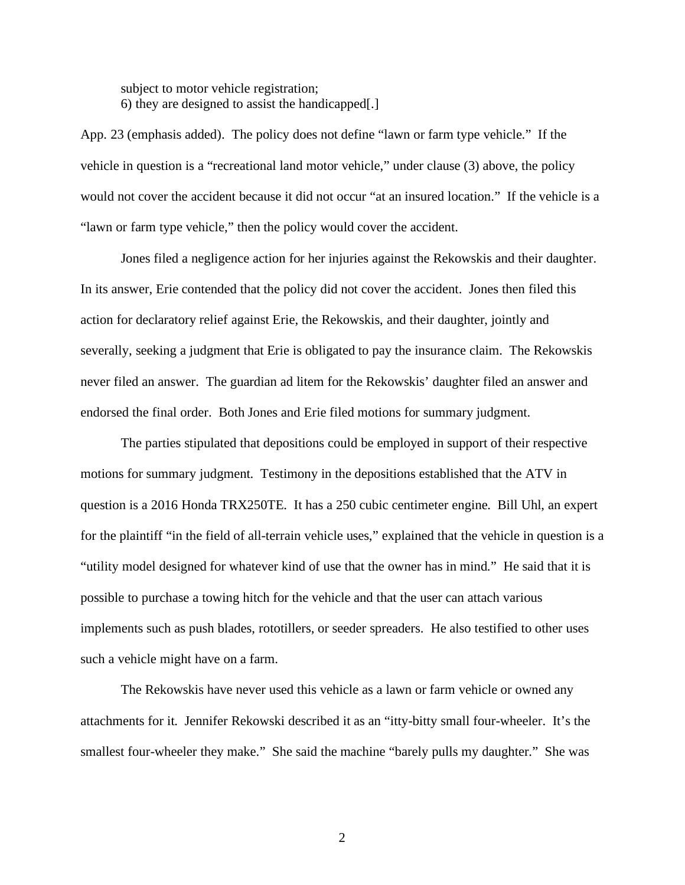subject to motor vehicle registration; 6) they are designed to assist the handicapped[.]

App. 23 (emphasis added). The policy does not define "lawn or farm type vehicle." If the vehicle in question is a "recreational land motor vehicle," under clause (3) above, the policy would not cover the accident because it did not occur "at an insured location." If the vehicle is a "lawn or farm type vehicle," then the policy would cover the accident.

Jones filed a negligence action for her injuries against the Rekowskis and their daughter. In its answer, Erie contended that the policy did not cover the accident. Jones then filed this action for declaratory relief against Erie, the Rekowskis, and their daughter, jointly and severally, seeking a judgment that Erie is obligated to pay the insurance claim. The Rekowskis never filed an answer. The guardian ad litem for the Rekowskis' daughter filed an answer and endorsed the final order. Both Jones and Erie filed motions for summary judgment.

The parties stipulated that depositions could be employed in support of their respective motions for summary judgment. Testimony in the depositions established that the ATV in question is a 2016 Honda TRX250TE. It has a 250 cubic centimeter engine. Bill Uhl, an expert for the plaintiff "in the field of all-terrain vehicle uses," explained that the vehicle in question is a "utility model designed for whatever kind of use that the owner has in mind." He said that it is possible to purchase a towing hitch for the vehicle and that the user can attach various implements such as push blades, rototillers, or seeder spreaders. He also testified to other uses such a vehicle might have on a farm.

The Rekowskis have never used this vehicle as a lawn or farm vehicle or owned any attachments for it. Jennifer Rekowski described it as an "itty-bitty small four-wheeler. It's the smallest four-wheeler they make." She said the machine "barely pulls my daughter." She was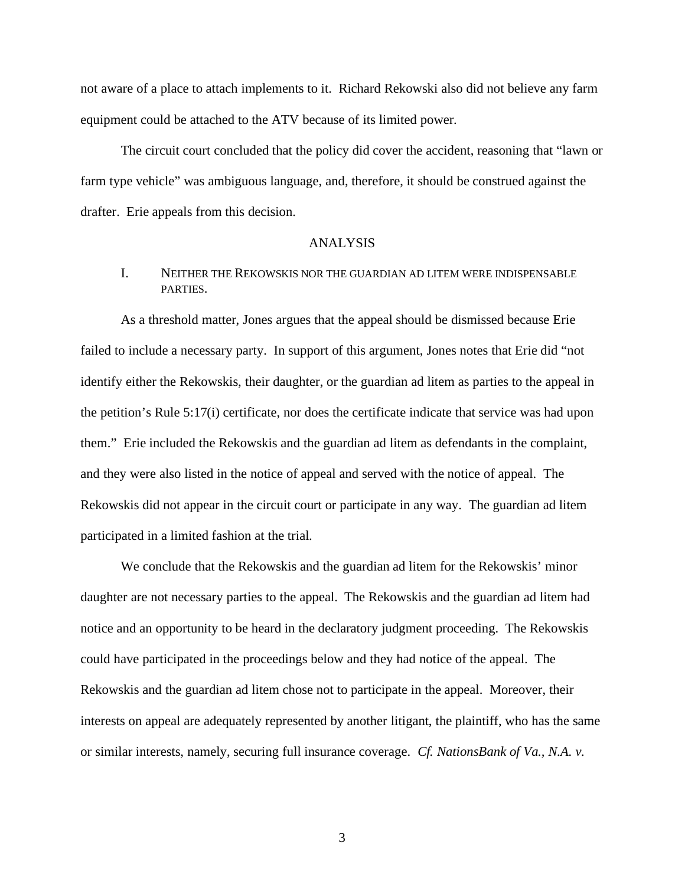not aware of a place to attach implements to it. Richard Rekowski also did not believe any farm equipment could be attached to the ATV because of its limited power.

The circuit court concluded that the policy did cover the accident, reasoning that "lawn or farm type vehicle" was ambiguous language, and, therefore, it should be construed against the drafter. Erie appeals from this decision.

#### ANALYSIS

## I. NEITHER THE REKOWSKIS NOR THE GUARDIAN AD LITEM WERE INDISPENSABLE PARTIES.

As a threshold matter, Jones argues that the appeal should be dismissed because Erie failed to include a necessary party. In support of this argument, Jones notes that Erie did "not identify either the Rekowskis, their daughter, or the guardian ad litem as parties to the appeal in the petition's Rule 5:17(i) certificate, nor does the certificate indicate that service was had upon them." Erie included the Rekowskis and the guardian ad litem as defendants in the complaint, and they were also listed in the notice of appeal and served with the notice of appeal. The Rekowskis did not appear in the circuit court or participate in any way. The guardian ad litem participated in a limited fashion at the trial.

We conclude that the Rekowskis and the guardian ad litem for the Rekowskis' minor daughter are not necessary parties to the appeal. The Rekowskis and the guardian ad litem had notice and an opportunity to be heard in the declaratory judgment proceeding. The Rekowskis could have participated in the proceedings below and they had notice of the appeal. The Rekowskis and the guardian ad litem chose not to participate in the appeal. Moreover, their interests on appeal are adequately represented by another litigant, the plaintiff, who has the same or similar interests, namely, securing full insurance coverage. *Cf. NationsBank of Va., N.A. v.*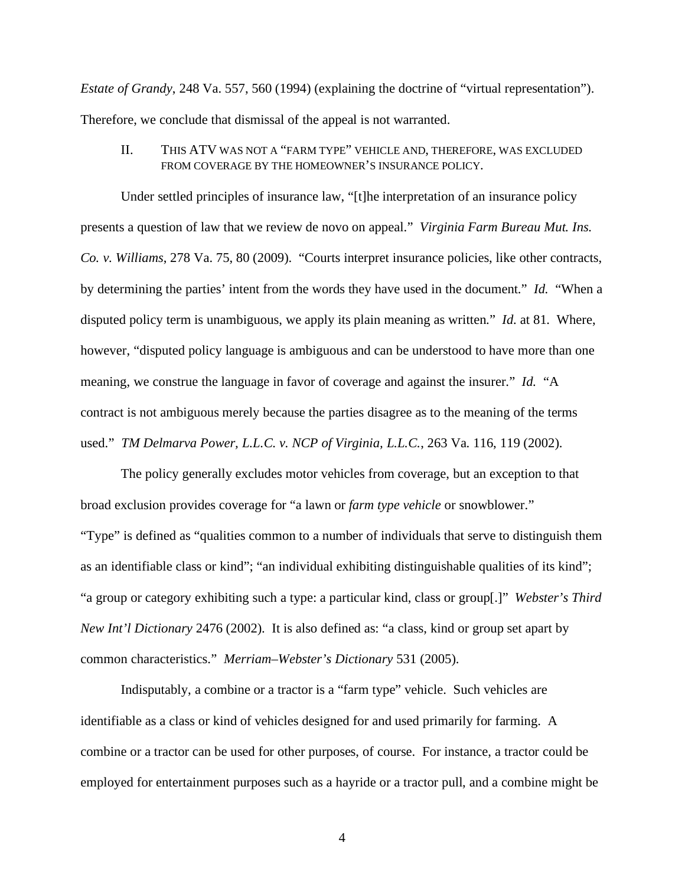*Estate of Grandy*, 248 Va. 557, 560 (1994) (explaining the doctrine of "virtual representation"). Therefore, we conclude that dismissal of the appeal is not warranted.

II. THIS ATV WAS NOT A "FARM TYPE" VEHICLE AND, THEREFORE, WAS EXCLUDED FROM COVERAGE BY THE HOMEOWNER'S INSURANCE POLICY.

Under settled principles of insurance law, "[t]he interpretation of an insurance policy presents a question of law that we review de novo on appeal." *Virginia Farm Bureau Mut. Ins. Co. v. Williams*, 278 Va. 75, 80 (2009). "Courts interpret insurance policies, like other contracts, by determining the parties' intent from the words they have used in the document." *Id.* "When a disputed policy term is unambiguous, we apply its plain meaning as written." *Id.* at 81. Where, however, "disputed policy language is ambiguous and can be understood to have more than one meaning, we construe the language in favor of coverage and against the insurer." *Id.* "A contract is not ambiguous merely because the parties disagree as to the meaning of the terms used." *TM Delmarva Power, L.L.C. v. NCP of Virginia, L.L.C.*, 263 Va. 116, 119 (2002).

The policy generally excludes motor vehicles from coverage, but an exception to that broad exclusion provides coverage for "a lawn or *farm type vehicle* or snowblower." "Type" is defined as "qualities common to a number of individuals that serve to distinguish them as an identifiable class or kind"; "an individual exhibiting distinguishable qualities of its kind"; "a group or category exhibiting such a type: a particular kind, class or group[.]" *Webster's Third New Int'l Dictionary* 2476 (2002). It is also defined as: "a class, kind or group set apart by common characteristics." *Merriam–Webster's Dictionary* 531 (2005).

Indisputably, a combine or a tractor is a "farm type" vehicle. Such vehicles are identifiable as a class or kind of vehicles designed for and used primarily for farming. A combine or a tractor can be used for other purposes, of course. For instance, a tractor could be employed for entertainment purposes such as a hayride or a tractor pull, and a combine might be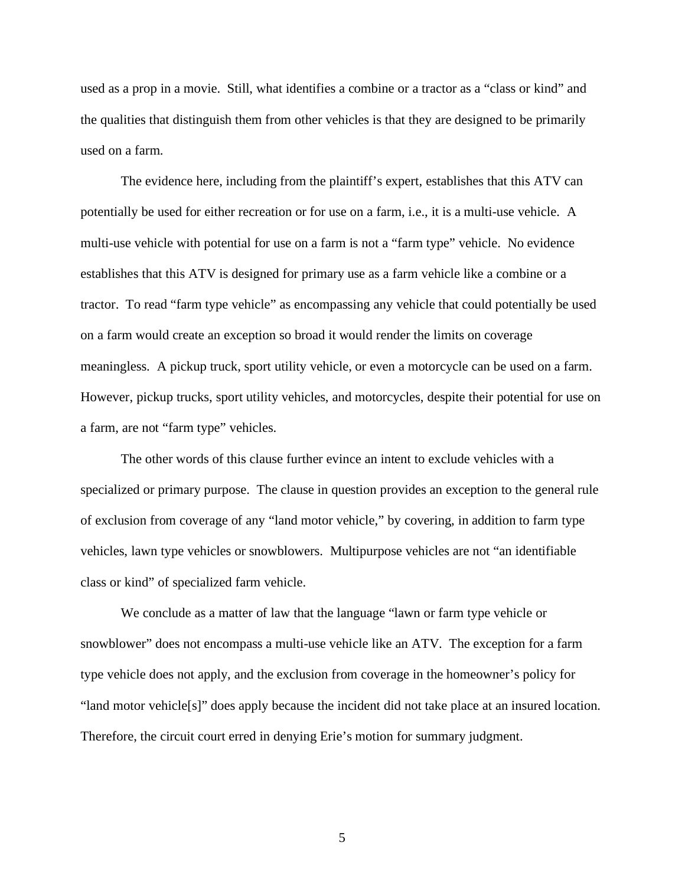used as a prop in a movie. Still, what identifies a combine or a tractor as a "class or kind" and the qualities that distinguish them from other vehicles is that they are designed to be primarily used on a farm.

The evidence here, including from the plaintiff's expert, establishes that this ATV can potentially be used for either recreation or for use on a farm, i.e., it is a multi-use vehicle. A multi-use vehicle with potential for use on a farm is not a "farm type" vehicle. No evidence establishes that this ATV is designed for primary use as a farm vehicle like a combine or a tractor. To read "farm type vehicle" as encompassing any vehicle that could potentially be used on a farm would create an exception so broad it would render the limits on coverage meaningless. A pickup truck, sport utility vehicle, or even a motorcycle can be used on a farm. However, pickup trucks, sport utility vehicles, and motorcycles, despite their potential for use on a farm, are not "farm type" vehicles.

The other words of this clause further evince an intent to exclude vehicles with a specialized or primary purpose. The clause in question provides an exception to the general rule of exclusion from coverage of any "land motor vehicle," by covering, in addition to farm type vehicles, lawn type vehicles or snowblowers. Multipurpose vehicles are not "an identifiable class or kind" of specialized farm vehicle.

We conclude as a matter of law that the language "lawn or farm type vehicle or snowblower" does not encompass a multi-use vehicle like an ATV. The exception for a farm type vehicle does not apply, and the exclusion from coverage in the homeowner's policy for "land motor vehicle[s]" does apply because the incident did not take place at an insured location. Therefore, the circuit court erred in denying Erie's motion for summary judgment.